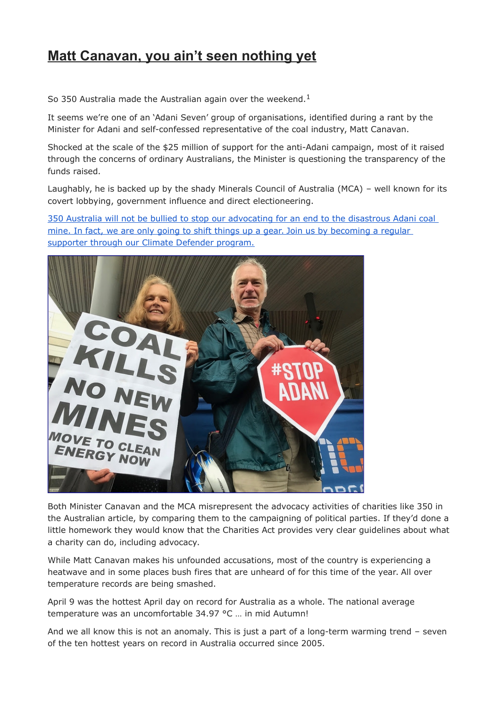## **Matt Canavan, you ain't seen nothing yet**

So 350 Australia made the Australian again over the weekend.<sup>1</sup>

It seems we're one of an 'Adani Seven' group of organisations, identified during a rant by the Minister for Adani and self-confessed representative of the coal industry, Matt Canavan.

Shocked at the scale of the \$25 million of support for the anti-Adani campaign, most of it raised through the concerns of ordinary Australians, the Minister is questioning the transparency of the funds raised.

Laughably, he is backed up by the shady Minerals Council of Australia (MCA) – well known for its covert lobbying, government influence and direct electioneering.

[350 Australia will not be bullied to stop our advocating for an end to the disastrous Adani coal](https://act.350.org/go/7408?t=6&utm_medium=email&utm_source=actionkit&akid=40369.741207.BOtrJX)  mine. In fact, we are only going to shift things up a gear. Join us by becoming a regular [supporter through our Climate Defender program.](https://act.350.org/go/7408?t=6&utm_medium=email&utm_source=actionkit&akid=40369.741207.BOtrJX)



Both Minister Canavan and the MCA misrepresent the advocacy activities of charities like 350 in the Australian article, by comparing them to the campaigning of political parties. If they'd done a little homework they would know that the Charities Act provides very clear guidelines about what a charity can do, including advocacy.

While Matt Canavan makes his unfounded accusations, most of the country is experiencing a heatwave and in some places bush fires that are unheard of for this time of the year. All over temperature records are being smashed.

April 9 was the hottest April day on record for Australia as a whole. The national average temperature was an uncomfortable 34.97 °C … in mid Autumn!

And we all know this is not an anomaly. This is just a part of a long-term warming trend – seven of the ten hottest years on record in Australia occurred since 2005.